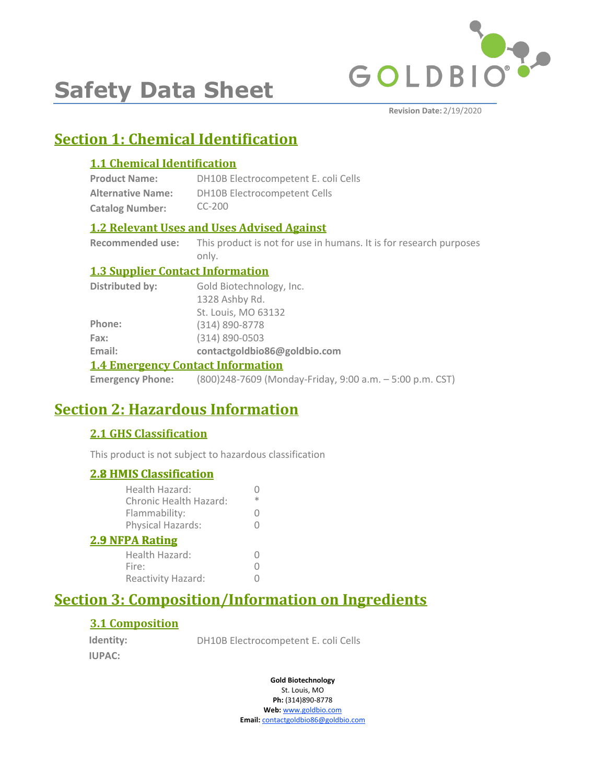

# **Safety Data Sheet**

**Revision Date:** 2/19/2020

# **Section 1: Chemical Identification**

### **1.1 Chemical Identification**

| <b>Product Name:</b>     | DH10B Electrocompetent E. coli Cells |
|--------------------------|--------------------------------------|
| <b>Alternative Name:</b> | <b>DH10B Electrocompetent Cells</b>  |
| <b>Catalog Number:</b>   | $CC-200$                             |

### **1.2 Relevant Uses and Uses Advised Against**

**Recommended use:** This product is not for use in humans. It is for research purposes only.

### **1.3 Supplier Contact Information**

| <b>Distributed by:</b>                   | Gold Biotechnology, Inc.     |  |
|------------------------------------------|------------------------------|--|
|                                          | 1328 Ashby Rd.               |  |
|                                          | St. Louis, MO 63132          |  |
| Phone:                                   | (314) 890-8778               |  |
| Fax:                                     | $(314) 890 - 0503$           |  |
| Email:                                   | contactgoldbio86@goldbio.com |  |
| <b>1.4 Emergency Contact Information</b> |                              |  |

**Emergency Phone:** (800)248-7609 (Monday-Friday, 9:00 a.m. – 5:00 p.m. CST)

# **Section 2: Hazardous Information**

### **2.1 GHS Classification**

This product is not subject to hazardous classification

### **2.8 HMIS Classification**

| <b>2.8 HMIS Classification</b>           |   |
|------------------------------------------|---|
| Health Hazard:<br>Chronic Health Hazard: | ж |
| Flammability:                            |   |
| Physical Hazards:                        |   |
| <b>2.9 NFPA Rating</b>                   |   |
| Health Hazard:                           |   |
| Fire:                                    |   |
| Reactivity Hazard:                       |   |
|                                          |   |

# **Section 3: Composition/Information on Ingredients**

### **3.1 Composition**

**Identity: IUPAC:**

DH10B Electrocompetent E. coli Cells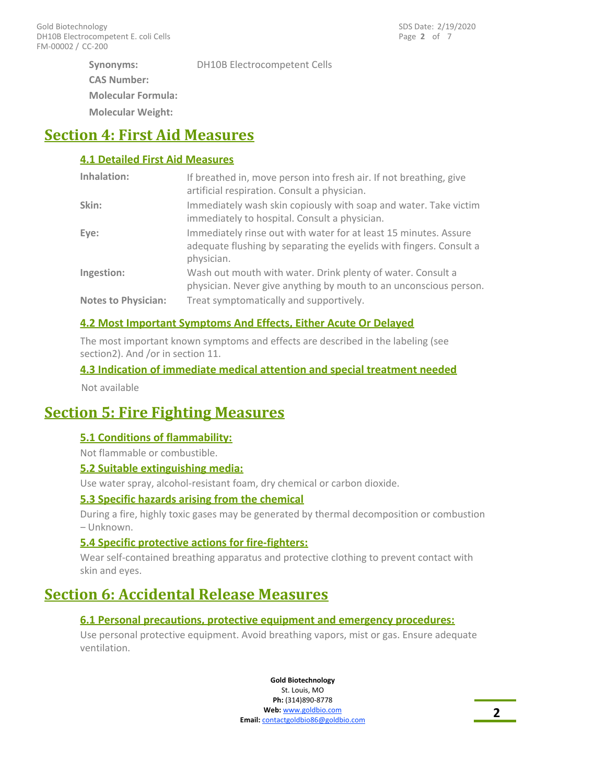**Molecular Weight: Synonyms: CAS Number: Molecular Formula:** DH10B Electrocompetent Cells

# **Section 4: First Aid Measures**

### **4.1 Detailed First Aid Measures**

| Inhalation:                | If breathed in, move person into fresh air. If not breathing, give<br>artificial respiration. Consult a physician.                                    |
|----------------------------|-------------------------------------------------------------------------------------------------------------------------------------------------------|
| Skin:                      | Immediately wash skin copiously with soap and water. Take victim<br>immediately to hospital. Consult a physician.                                     |
| Eye:                       | Immediately rinse out with water for at least 15 minutes. Assure<br>adequate flushing by separating the eyelids with fingers. Consult a<br>physician. |
| Ingestion:                 | Wash out mouth with water. Drink plenty of water. Consult a<br>physician. Never give anything by mouth to an unconscious person.                      |
| <b>Notes to Physician:</b> | Treat symptomatically and supportively.                                                                                                               |

### **4.2 Most Important Symptoms And Effects, Either Acute Or Delayed**

The most important known symptoms and effects are described in the labeling (see section2). And /or in section 11.

### **4.3 Indication of immediate medical attention and special treatment needed**

Not available

### **Section 5: Fire Fighting Measures**

### **5.1 Conditions of flammability:**

Not flammable or combustible.

### **5.2 Suitable extinguishing media:**

Use water spray, alcohol-resistant foam, dry chemical or carbon dioxide.

### **5.3 Specific hazards arising from the chemical**

During a fire, highly toxic gases may be generated by thermal decomposition or combustion – Unknown.

### **5.4 Specific protective actions for fire-fighters:**

Wear self-contained breathing apparatus and protective clothing to prevent contact with skin and eyes.

### **Section 6: Accidental Release Measures**

### **6.1 Personal precautions, protective equipment and emergency procedures:**

Use personal protective equipment. Avoid breathing vapors, mist or gas. Ensure adequate ventilation.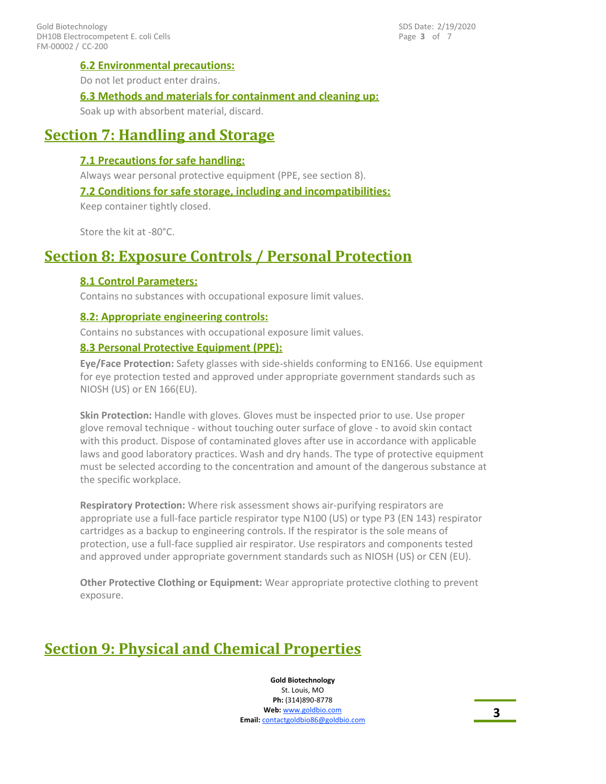### **6.2 Environmental precautions:**

Do not let product enter drains.

### **6.3 Methods and materials for containment and cleaning up:**

Soak up with absorbent material, discard.

### **Section 7: Handling and Storage**

### **7.1 Precautions for safe handling:**

Always wear personal protective equipment (PPE, see section 8).

### **7.2 Conditions for safe storage, including and incompatibilities:**

Keep container tightly closed.

Store the kit at -80°C.

### **Section 8: Exposure Controls / Personal Protection**

### **8.1 Control Parameters:**

Contains no substances with occupational exposure limit values.

### **8.2: Appropriate engineering controls:**

Contains no substances with occupational exposure limit values.

### **8.3 Personal Protective Equipment (PPE):**

**Eye/Face Protection:** Safety glasses with side-shields conforming to EN166. Use equipment for eye protection tested and approved under appropriate government standards such as NIOSH (US) or EN 166(EU).

**Skin Protection:** Handle with gloves. Gloves must be inspected prior to use. Use proper glove removal technique - without touching outer surface of glove - to avoid skin contact with this product. Dispose of contaminated gloves after use in accordance with applicable laws and good laboratory practices. Wash and dry hands. The type of protective equipment must be selected according to the concentration and amount of the dangerous substance at the specific workplace.

**Respiratory Protection:** Where risk assessment shows air-purifying respirators are appropriate use a full-face particle respirator type N100 (US) or type P3 (EN 143) respirator cartridges as a backup to engineering controls. If the respirator is the sole means of protection, use a full-face supplied air respirator. Use respirators and components tested and approved under appropriate government standards such as NIOSH (US) or CEN (EU).

**Other Protective Clothing or Equipment:** Wear appropriate protective clothing to prevent exposure.

# **Section 9: Physical and Chemical Properties**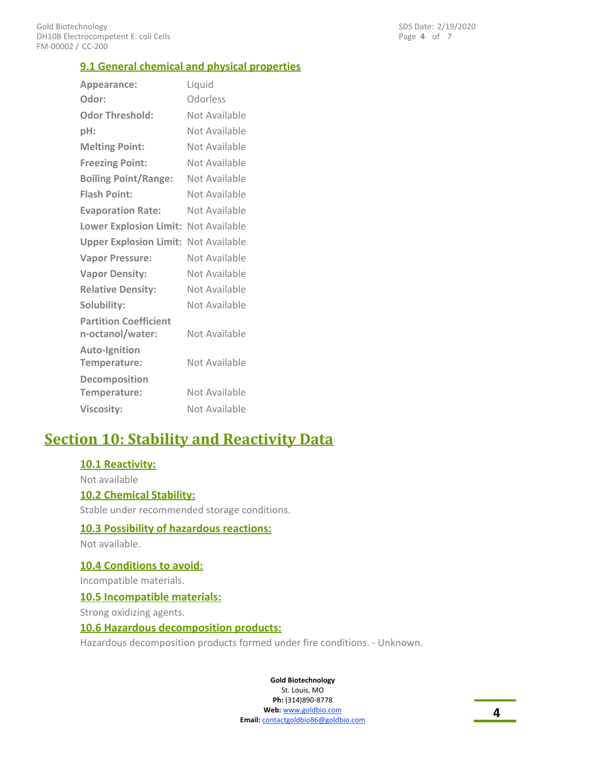### **9.1 General chemical and physical properties**

| Appearance:                                      | Liquid        |
|--------------------------------------------------|---------------|
| Odor:                                            | Odorless      |
| <b>Odor Threshold:</b>                           | Not Available |
| pH:                                              | Not Available |
| <b>Melting Point:</b>                            | Not Available |
| <b>Freezing Point:</b>                           | Not Available |
| <b>Boiling Point/Range:</b>                      | Not Available |
| <b>Flash Point:</b>                              | Not Available |
| <b>Evaporation Rate:</b>                         | Not Available |
| Lower Explosion Limit: Not Available             |               |
| <b>Upper Explosion Limit: Not Available</b>      |               |
| <b>Vapor Pressure:</b>                           | Not Available |
| <b>Vapor Density:</b>                            | Not Available |
| <b>Relative Density:</b>                         | Not Available |
| Solubility:                                      | Not Available |
| <b>Partition Coefficient</b><br>n-octanol/water: | Not Available |
| <b>Auto-Ignition</b><br>Temperature:             | Not Available |
| Decomposition<br>Temperature:                    | Not Available |
| <b>Viscosity:</b>                                | Not Available |

# **Section 10: Stability and Reactivity Data**

### **10.1 Reactivity:**

Not available

### **10.2 Chemical Stability:**

Stable under recommended storage conditions.

#### **10.3 Possibility of hazardous reactions:**

Not available.

### **10.4 Conditions to avoid:**

Incompatible materials.

#### **10.5 Incompatible materials:**

Strong oxidizing agents.

### **10.6 Hazardous decomposition products:**

Hazardous decomposition products formed under fire conditions. - Unknown.

**Gold Biotechnology**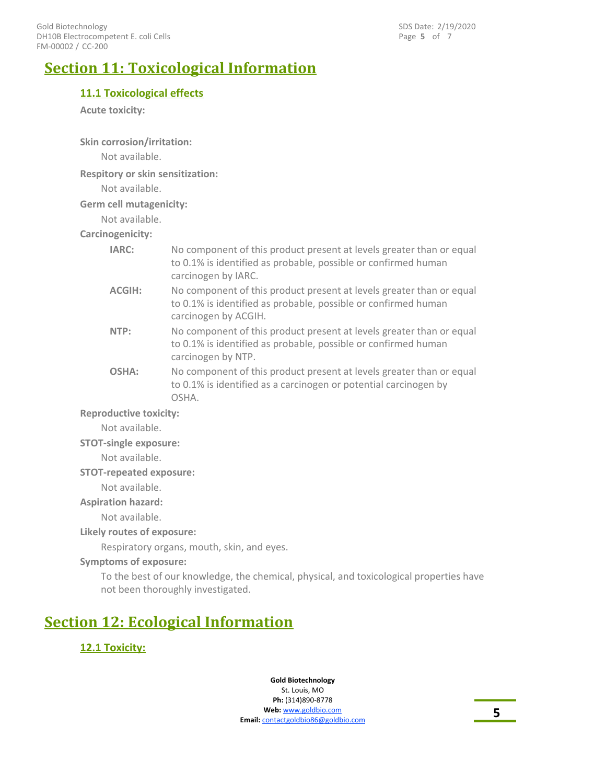Page **5** of 7 SDS Date: 2/19/2020

# **Section 11: Toxicological Information**

### **11.1 Toxicological effects**

**Acute toxicity:**

**Skin corrosion/irritation:**

Not available.

**Respitory or skin sensitization:**

Not available.

**Germ cell mutagenicity:**

Not available.

**Carcinogenicity:**

| IARC:                         | No component of this product present at levels greater than or equal<br>to 0.1% is identified as probable, possible or confirmed human<br>carcinogen by IARC.  |  |
|-------------------------------|----------------------------------------------------------------------------------------------------------------------------------------------------------------|--|
| <b>ACGIH:</b>                 | No component of this product present at levels greater than or equal<br>to 0.1% is identified as probable, possible or confirmed human<br>carcinogen by ACGIH. |  |
| NTP:                          | No component of this product present at levels greater than or equal<br>to 0.1% is identified as probable, possible or confirmed human<br>carcinogen by NTP.   |  |
| OSHA:                         | No component of this product present at levels greater than or equal<br>to 0.1% is identified as a carcinogen or potential carcinogen by<br>OSHA.              |  |
| <b>Reproductive toxicity:</b> |                                                                                                                                                                |  |

Not available.

### **STOT-single exposure:**

Not available.

**STOT-repeated exposure:**

Not available.

**Aspiration hazard:**

Not available.

**Likely routes of exposure:**

Respiratory organs, mouth, skin, and eyes.

### **Symptoms of exposure:**

To the best of our knowledge, the chemical, physical, and toxicological properties have not been thoroughly investigated.

# **Section 12: Ecological Information**

### **12.1 Toxicity:**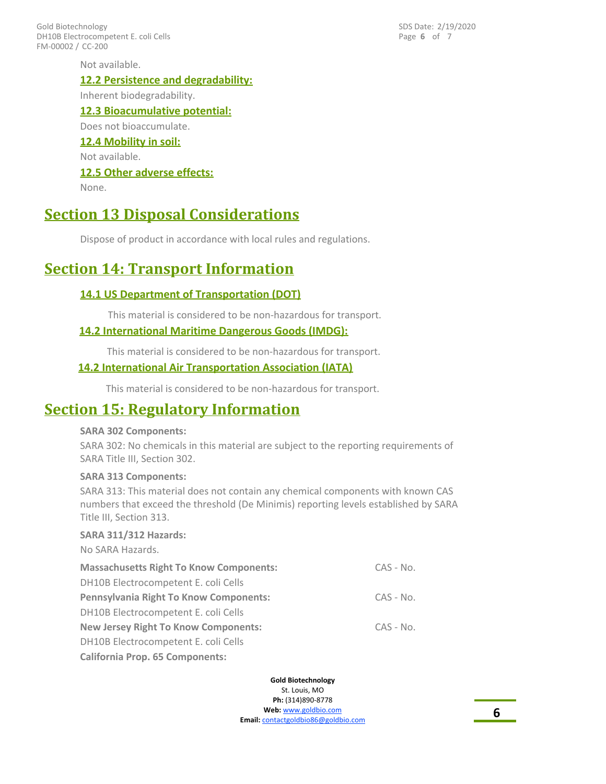FM-00002 / CC-200 Gold Biotechnology DH10B Electrocompetent E. coli Cells Page **6** of 7 SDS Date: 2/19/2020

Not available. **12.2 Persistence and degradability:** Inherent biodegradability. **12.3 Bioacumulative potential:** Does not bioaccumulate. **12.4 Mobility in soil:** Not available. **12.5 Other adverse effects:** None.

### **Section 13 Disposal Considerations**

Dispose of product in accordance with local rules and regulations.

### **Section 14: Transport Information**

### **14.1 US Department of Transportation (DOT)**

This material is considered to be non-hazardous for transport.

### **14.2 International Maritime Dangerous Goods (IMDG):**

This material is considered to be non-hazardous for transport.

### **14.2 International Air Transportation Association (IATA)**

This material is considered to be non-hazardous for transport.

### **Section 15: Regulatory Information**

#### **SARA 302 Components:**

SARA 302: No chemicals in this material are subject to the reporting requirements of SARA Title III, Section 302.

### **SARA 313 Components:**

SARA 313: This material does not contain any chemical components with known CAS numbers that exceed the threshold (De Minimis) reporting levels established by SARA Title III, Section 313.

### **SARA 311/312 Hazards:**

No SARA Hazards.

| <b>Massachusetts Right To Know Components:</b> |             |
|------------------------------------------------|-------------|
| DH10B Electrocompetent E. coli Cells           |             |
| <b>Pennsylvania Right To Know Components:</b>  | $CAS - No.$ |
| DH10B Electrocompetent E. coli Cells           |             |
| <b>New Jersey Right To Know Components:</b>    | $CAS - No.$ |
| DH10B Electrocompetent E. coli Cells           |             |
| <b>California Prop. 65 Components:</b>         |             |